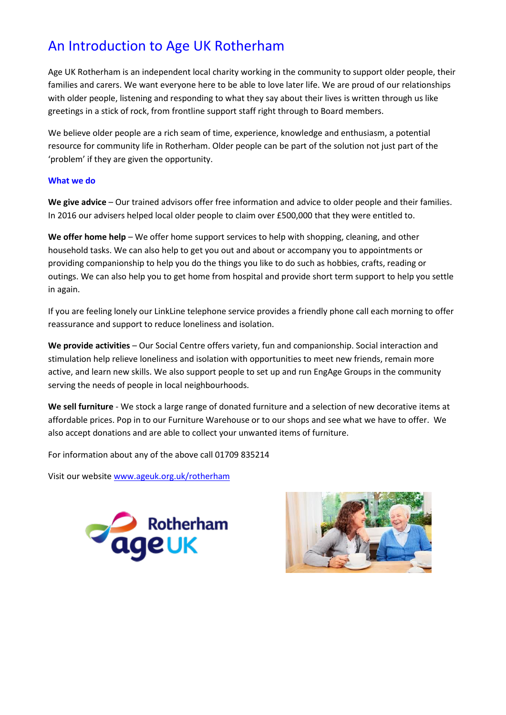## An Introduction to Age UK Rotherham

Age UK Rotherham is an independent local charity working in the community to support older people, their families and carers. We want everyone here to be able to love later life. We are proud of our relationships with older people, listening and responding to what they say about their lives is written through us like greetings in a stick of rock, from frontline support staff right through to Board members.

We believe older people are a rich seam of time, experience, knowledge and enthusiasm, a potential resource for community life in Rotherham. Older people can be part of the solution not just part of the 'problem' if they are given the opportunity.

## **What we do**

**We give advice** – Our trained advisors offer free information and advice to older people and their families. In 2016 our advisers helped local older people to claim over £500,000 that they were entitled to.

**We offer home help** – We offer home support services to help with shopping, cleaning, and other household tasks. We can also help to get you out and about or accompany you to appointments or providing companionship to help you do the things you like to do such as hobbies, crafts, reading or outings. We can also help you to get home from hospital and provide short term support to help you settle in again.

If you are feeling lonely our LinkLine telephone service provides a friendly phone call each morning to offer reassurance and support to reduce loneliness and isolation.

**We provide activities** – Our Social Centre offers variety, fun and companionship. Social interaction and stimulation help relieve loneliness and isolation with opportunities to meet new friends, remain more active, and learn new skills. We also support people to set up and run EngAge Groups in the community serving the needs of people in local neighbourhoods.

**We sell furniture** - We stock a large range of donated furniture and a selection of new decorative items at affordable prices. Pop in to our Furniture Warehouse or to our shops and see what we have to offer. We also accept donations and are able to collect your unwanted items of furniture.

For information about any of the above call 01709 835214

Visit our website [www.ageuk.org.uk/rotherham](http://www.ageuk.org.uk/rotherham)